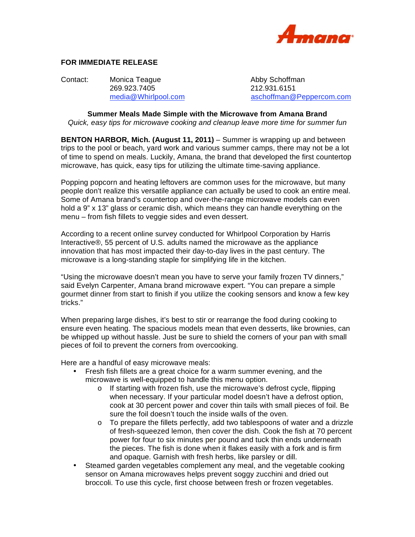

## **FOR IMMEDIATE RELEASE**

Contact: Monica Teague **Abby Schoffman** 269.923.7405 212.931.6151

media@Whirlpool.com aschoffman@Peppercom.com

**Summer Meals Made Simple with the Microwave from Amana Brand**  *Quick, easy tips for microwave cooking and cleanup leave more time for summer fun* 

**BENTON HARBOR, Mich. (August 11, 2011)** – Summer is wrapping up and between trips to the pool or beach, yard work and various summer camps, there may not be a lot of time to spend on meals. Luckily, Amana, the brand that developed the first countertop microwave, has quick, easy tips for utilizing the ultimate time-saving appliance.

Popping popcorn and heating leftovers are common uses for the microwave, but many people don't realize this versatile appliance can actually be used to cook an entire meal. Some of Amana brand's countertop and over-the-range microwave models can even hold a 9" x 13" glass or ceramic dish, which means they can handle everything on the menu – from fish fillets to veggie sides and even dessert.

According to a recent online survey conducted for Whirlpool Corporation by Harris Interactive®, 55 percent of U.S. adults named the microwave as the appliance innovation that has most impacted their day-to-day lives in the past century. The microwave is a long-standing staple for simplifying life in the kitchen.

"Using the microwave doesn't mean you have to serve your family frozen TV dinners," said Evelyn Carpenter, Amana brand microwave expert. "You can prepare a simple gourmet dinner from start to finish if you utilize the cooking sensors and know a few key tricks."

When preparing large dishes, it's best to stir or rearrange the food during cooking to ensure even heating. The spacious models mean that even desserts, like brownies, can be whipped up without hassle. Just be sure to shield the corners of your pan with small pieces of foil to prevent the corners from overcooking.

Here are a handful of easy microwave meals:

- Fresh fish fillets are a great choice for a warm summer evening, and the microwave is well-equipped to handle this menu option.
	- o If starting with frozen fish, use the microwave's defrost cycle, flipping when necessary. If your particular model doesn't have a defrost option, cook at 30 percent power and cover thin tails with small pieces of foil. Be sure the foil doesn't touch the inside walls of the oven.
	- $\circ$  To prepare the fillets perfectly, add two tablespoons of water and a drizzle of fresh-squeezed lemon, then cover the dish. Cook the fish at 70 percent power for four to six minutes per pound and tuck thin ends underneath the pieces. The fish is done when it flakes easily with a fork and is firm and opaque. Garnish with fresh herbs, like parsley or dill.
- Steamed garden vegetables complement any meal, and the vegetable cooking sensor on Amana microwaves helps prevent soggy zucchini and dried out broccoli. To use this cycle, first choose between fresh or frozen vegetables.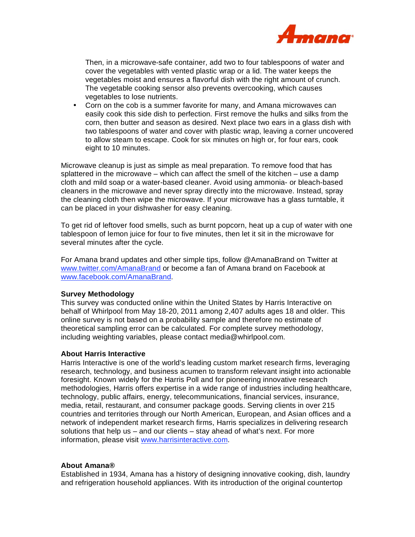

Then, in a microwave-safe container, add two to four tablespoons of water and cover the vegetables with vented plastic wrap or a lid. The water keeps the vegetables moist and ensures a flavorful dish with the right amount of crunch. The vegetable cooking sensor also prevents overcooking, which causes vegetables to lose nutrients.

• Corn on the cob is a summer favorite for many, and Amana microwaves can easily cook this side dish to perfection. First remove the hulks and silks from the corn, then butter and season as desired. Next place two ears in a glass dish with two tablespoons of water and cover with plastic wrap, leaving a corner uncovered to allow steam to escape. Cook for six minutes on high or, for four ears, cook eight to 10 minutes.

Microwave cleanup is just as simple as meal preparation. To remove food that has splattered in the microwave – which can affect the smell of the kitchen – use a damp cloth and mild soap or a water-based cleaner. Avoid using ammonia- or bleach-based cleaners in the microwave and never spray directly into the microwave. Instead, spray the cleaning cloth then wipe the microwave. If your microwave has a glass turntable, it can be placed in your dishwasher for easy cleaning.

To get rid of leftover food smells, such as burnt popcorn, heat up a cup of water with one tablespoon of lemon juice for four to five minutes, then let it sit in the microwave for several minutes after the cycle.

For Amana brand updates and other simple tips, follow @AmanaBrand on Twitter at www.twitter.com/AmanaBrand or become a fan of Amana brand on Facebook at www.facebook.com/AmanaBrand.

## **Survey Methodology**

This survey was conducted online within the United States by Harris Interactive on behalf of Whirlpool from May 18-20, 2011 among 2,407 adults ages 18 and older. This online survey is not based on a probability sample and therefore no estimate of theoretical sampling error can be calculated. For complete survey methodology, including weighting variables, please contact media@whirlpool.com.

## **About Harris Interactive**

Harris Interactive is one of the world's leading custom market research firms, leveraging research, technology, and business acumen to transform relevant insight into actionable foresight. Known widely for the Harris Poll and for pioneering innovative research methodologies, Harris offers expertise in a wide range of industries including healthcare, technology, public affairs, energy, telecommunications, financial services, insurance, media, retail, restaurant, and consumer package goods. Serving clients in over 215 countries and territories through our North American, European, and Asian offices and a network of independent market research firms, Harris specializes in delivering research solutions that help us – and our clients – stay ahead of what's next. For more information, please visit www.harrisinteractive.com.

## **About Amana®**

Established in 1934, Amana has a history of designing innovative cooking, dish, laundry and refrigeration household appliances. With its introduction of the original countertop